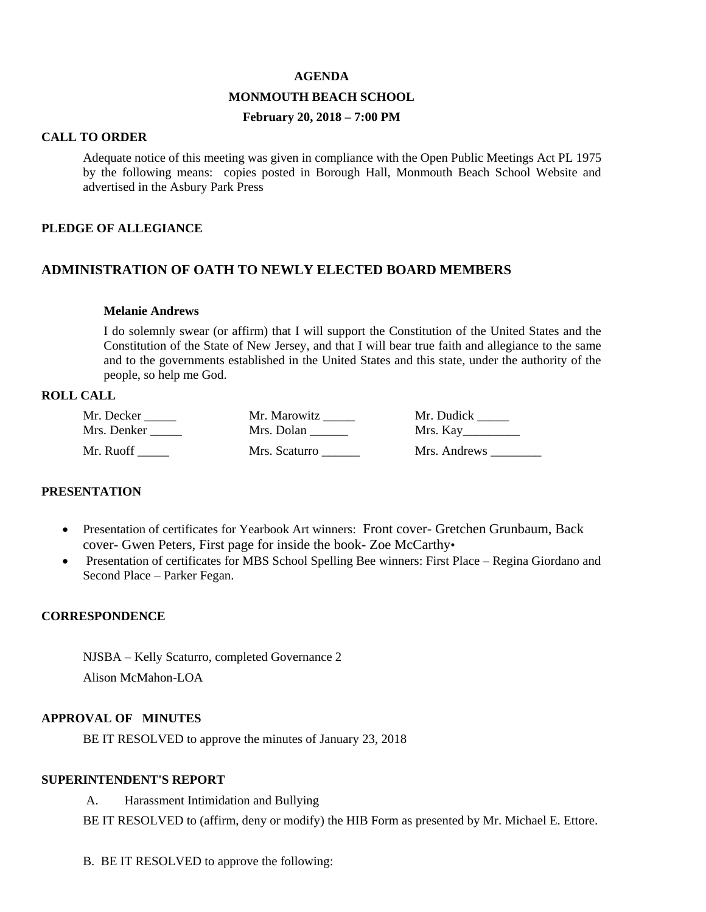#### **AGENDA**

## **MONMOUTH BEACH SCHOOL**

## **February 20, 2018 – 7:00 PM**

### **CALL TO ORDER**

Adequate notice of this meeting was given in compliance with the Open Public Meetings Act PL 1975 by the following means: copies posted in Borough Hall, Monmouth Beach School Website and advertised in the Asbury Park Press

### **PLEDGE OF ALLEGIANCE**

### **ADMINISTRATION OF OATH TO NEWLY ELECTED BOARD MEMBERS**

## **Melanie Andrews**

I do solemnly swear (or affirm) that I will support the Constitution of the United States and the Constitution of the State of New Jersey, and that I will bear true faith and allegiance to the same and to the governments established in the United States and this state, under the authority of the people, so help me God.

## **ROLL CALL**

| Mr. Decker  | Mr. Marowitz  | Mr. Dudick   |
|-------------|---------------|--------------|
| Mrs. Denker | Mrs. Dolan    | Mrs. Kay     |
| Mr. Ruoff   | Mrs. Scaturro | Mrs. Andrews |

## **PRESENTATION**

- Presentation of certificates for Yearbook Art winners: Front cover- Gretchen Grunbaum, Back cover- Gwen Peters, First page for inside the book- Zoe McCarthy•
- Presentation of certificates for MBS School Spelling Bee winners: First Place Regina Giordano and Second Place – Parker Fegan.

## **CORRESPONDENCE**

NJSBA – Kelly Scaturro, completed Governance 2 Alison McMahon-LOA

### **APPROVAL OF MINUTES**

BE IT RESOLVED to approve the minutes of January 23, 2018

## **SUPERINTENDENT'S REPORT**

A. Harassment Intimidation and Bullying

BE IT RESOLVED to (affirm, deny or modify) the HIB Form as presented by Mr. Michael E. Ettore.

B. BE IT RESOLVED to approve the following: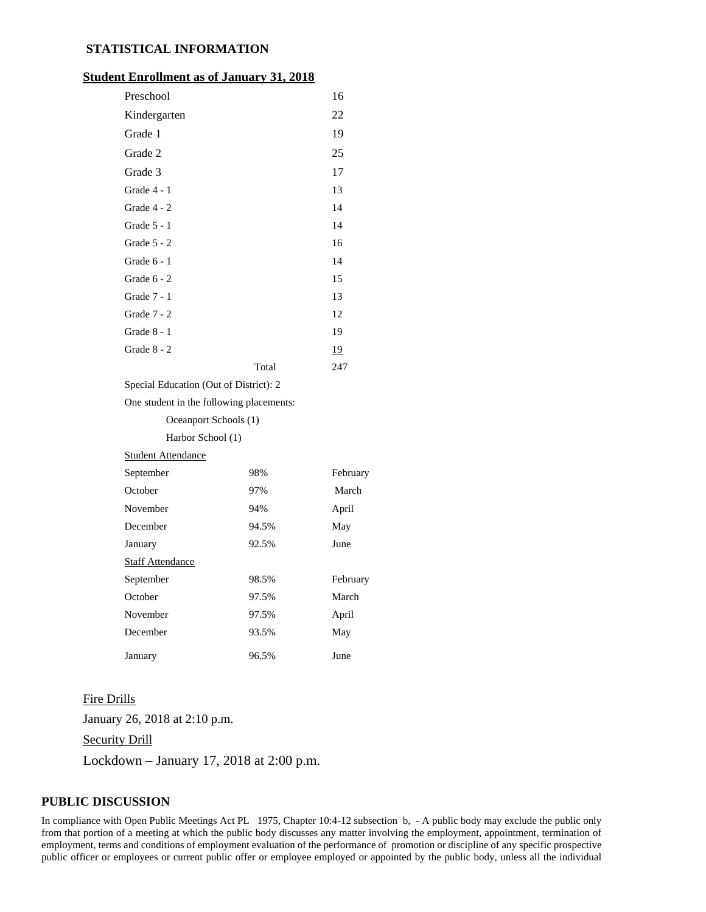### **STATISTICAL INFORMATION**

### **Student Enrollment as of January 31, 2018**

| Preschool                              |       | 16        |
|----------------------------------------|-------|-----------|
| Kindergarten                           |       | 22        |
| Grade 1                                |       | 19        |
| Grade 2                                |       | 25        |
| Grade 3                                |       | 17        |
| Grade 4 - 1                            |       | 13        |
| Grade 4 - 2                            |       | 14        |
| Grade $5 - 1$                          |       | 14        |
| Grade 5 - 2                            |       | 16        |
| Grade 6 - 1                            |       | 14        |
| Grade $6 - 2$                          |       | 15        |
| Grade 7 - 1                            |       | 13        |
| Grade 7 - 2                            |       | 12        |
| Grade 8 - 1                            |       | 19        |
| Grade 8 - 2                            |       | <u>19</u> |
|                                        | Total | 247       |
| Special Education (Out of District): 2 |       |           |

# One student in the following placements:

Oceanport Schools (1)

#### Harbor School (1)

Student Attendance

| September               | 98%   | February |
|-------------------------|-------|----------|
| October                 | 97%   | March    |
| November                | 94%   | April    |
| December                | 94.5% | May      |
| January                 | 92.5% | June     |
| <b>Staff Attendance</b> |       |          |
| September               | 98.5% | February |
| October                 | 97.5% | March    |
| November                | 97.5% | April    |
| December                | 93.5% | May      |
| January                 | 96.5% | June     |

#### Fire Drills

January 26, 2018 at 2:10 p.m. **Security Drill** Lockdown – January 17, 2018 at 2:00 p.m.

## **PUBLIC DISCUSSION**

In compliance with Open Public Meetings Act PL 1975, Chapter 10:4-12 subsection b, - A public body may exclude the public only from that portion of a meeting at which the public body discusses any matter involving the employment, appointment, termination of employment, terms and conditions of employment evaluation of the performance of promotion or discipline of any specific prospective public officer or employees or current public offer or employee employed or appointed by the public body, unless all the individual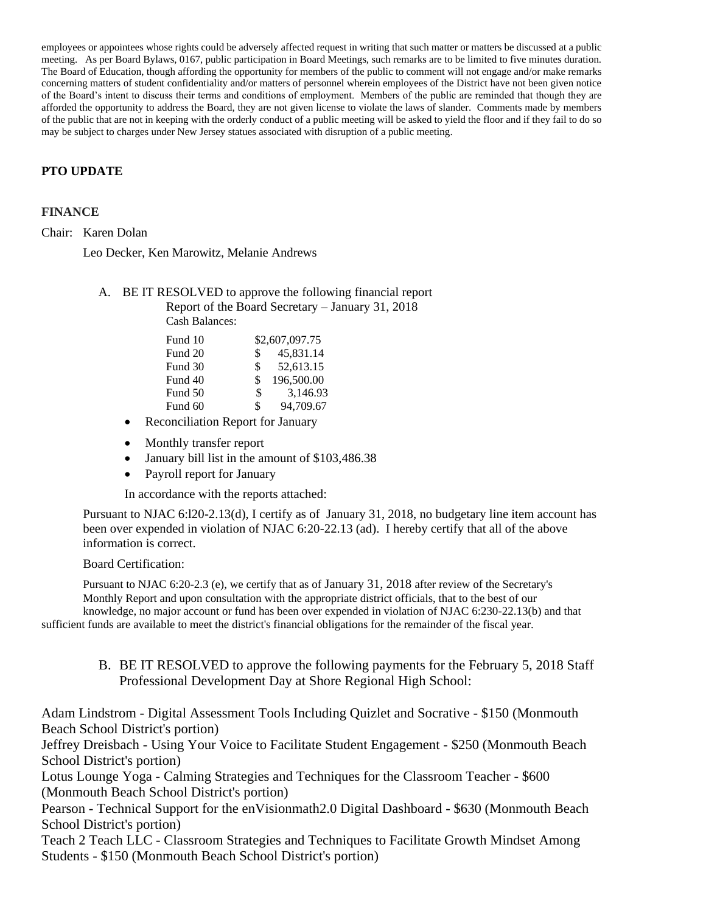employees or appointees whose rights could be adversely affected request in writing that such matter or matters be discussed at a public meeting. As per Board Bylaws, 0167, public participation in Board Meetings, such remarks are to be limited to five minutes duration. The Board of Education, though affording the opportunity for members of the public to comment will not engage and/or make remarks concerning matters of student confidentiality and/or matters of personnel wherein employees of the District have not been given notice of the Board's intent to discuss their terms and conditions of employment. Members of the public are reminded that though they are afforded the opportunity to address the Board, they are not given license to violate the laws of slander. Comments made by members of the public that are not in keeping with the orderly conduct of a public meeting will be asked to yield the floor and if they fail to do so may be subject to charges under New Jersey statues associated with disruption of a public meeting.

# **PTO UPDATE**

## **FINANCE**

Chair: Karen Dolan

Leo Decker, Ken Marowitz, Melanie Andrews

A. BE IT RESOLVED to approve the following financial report Report of the Board Secretary – January 31, 2018

Cash Balances:

| Fund 10 |     | \$2,607,097.75 |
|---------|-----|----------------|
| Fund 20 | \$. | 45,831.14      |
| Fund 30 | \$  | 52,613.15      |
| Fund 40 | \$  | 196,500.00     |
| Fund 50 | \$  | 3,146.93       |
| Fund 60 | \$  | 94,709.67      |

- Reconciliation Report for January
- Monthly transfer report
- January bill list in the amount of \$103,486.38
- Payroll report for January

In accordance with the reports attached:

Pursuant to NJAC 6:l20-2.13(d), I certify as of January 31, 2018, no budgetary line item account has been over expended in violation of NJAC 6:20-22.13 (ad). I hereby certify that all of the above information is correct.

## Board Certification:

Pursuant to NJAC 6:20-2.3 (e), we certify that as of January 31, 2018 after review of the Secretary's Monthly Report and upon consultation with the appropriate district officials, that to the best of our

knowledge, no major account or fund has been over expended in violation of NJAC 6:230-22.13(b) and that sufficient funds are available to meet the district's financial obligations for the remainder of the fiscal year.

> B. BE IT RESOLVED to approve the following payments for the February 5, 2018 Staff Professional Development Day at Shore Regional High School:

Adam Lindstrom - Digital Assessment Tools Including Quizlet and Socrative - \$150 (Monmouth Beach School District's portion)

Jeffrey Dreisbach - Using Your Voice to Facilitate Student Engagement - \$250 (Monmouth Beach School District's portion)

Lotus Lounge Yoga - Calming Strategies and Techniques for the Classroom Teacher - \$600 (Monmouth Beach School District's portion)

Pearson - Technical Support for the enVisionmath2.0 Digital Dashboard - \$630 (Monmouth Beach School District's portion)

Teach 2 Teach LLC - Classroom Strategies and Techniques to Facilitate Growth Mindset Among Students - \$150 (Monmouth Beach School District's portion)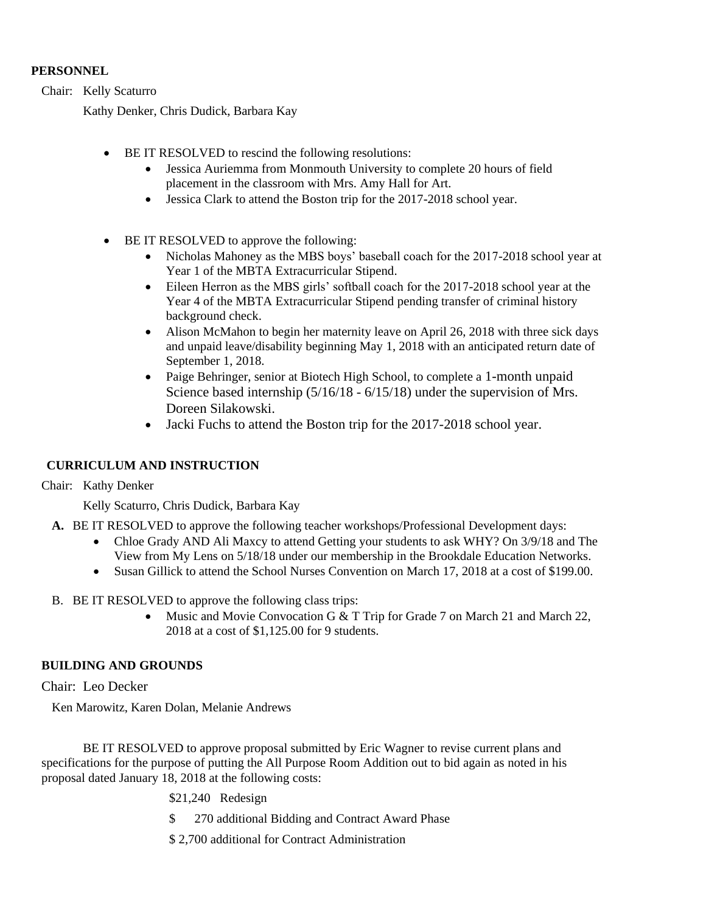## **PERSONNEL**

Chair: Kelly Scaturro

Kathy Denker, Chris Dudick, Barbara Kay

- BE IT RESOLVED to rescind the following resolutions:
	- Jessica Auriemma from Monmouth University to complete 20 hours of field placement in the classroom with Mrs. Amy Hall for Art.
	- Jessica Clark to attend the Boston trip for the 2017-2018 school year.
- BE IT RESOLVED to approve the following:
	- Nicholas Mahoney as the MBS boys' baseball coach for the 2017-2018 school year at Year 1 of the MBTA Extracurricular Stipend.
	- Eileen Herron as the MBS girls' softball coach for the 2017-2018 school year at the Year 4 of the MBTA Extracurricular Stipend pending transfer of criminal history background check.
	- Alison McMahon to begin her maternity leave on April 26, 2018 with three sick days and unpaid leave/disability beginning May 1, 2018 with an anticipated return date of September 1, 2018.
	- Paige Behringer, senior at Biotech High School, to complete a 1-month unpaid Science based internship (5/16/18 - 6/15/18) under the supervision of Mrs. Doreen Silakowski.
	- Jacki Fuchs to attend the Boston trip for the 2017-2018 school year.

# **CURRICULUM AND INSTRUCTION**

Chair: Kathy Denker

Kelly Scaturro, Chris Dudick, Barbara Kay

- **A.** BE IT RESOLVED to approve the following teacher workshops/Professional Development days:
	- Chloe Grady AND Ali Maxcy to attend Getting your students to ask WHY? On 3/9/18 and The View from My Lens on 5/18/18 under our membership in the Brookdale Education Networks.
	- Susan Gillick to attend the School Nurses Convention on March 17, 2018 at a cost of \$199.00.
- B. BE IT RESOLVED to approve the following class trips:
	- Music and Movie Convocation G  $&$  T Trip for Grade 7 on March 21 and March 22, 2018 at a cost of \$1,125.00 for 9 students.

# **BUILDING AND GROUNDS**

Chair: Leo Decker

Ken Marowitz, Karen Dolan, Melanie Andrews

BE IT RESOLVED to approve proposal submitted by Eric Wagner to revise current plans and specifications for the purpose of putting the All Purpose Room Addition out to bid again as noted in his proposal dated January 18, 2018 at the following costs:

\$21,240 Redesign

\$ 270 additional Bidding and Contract Award Phase

\$ 2,700 additional for Contract Administration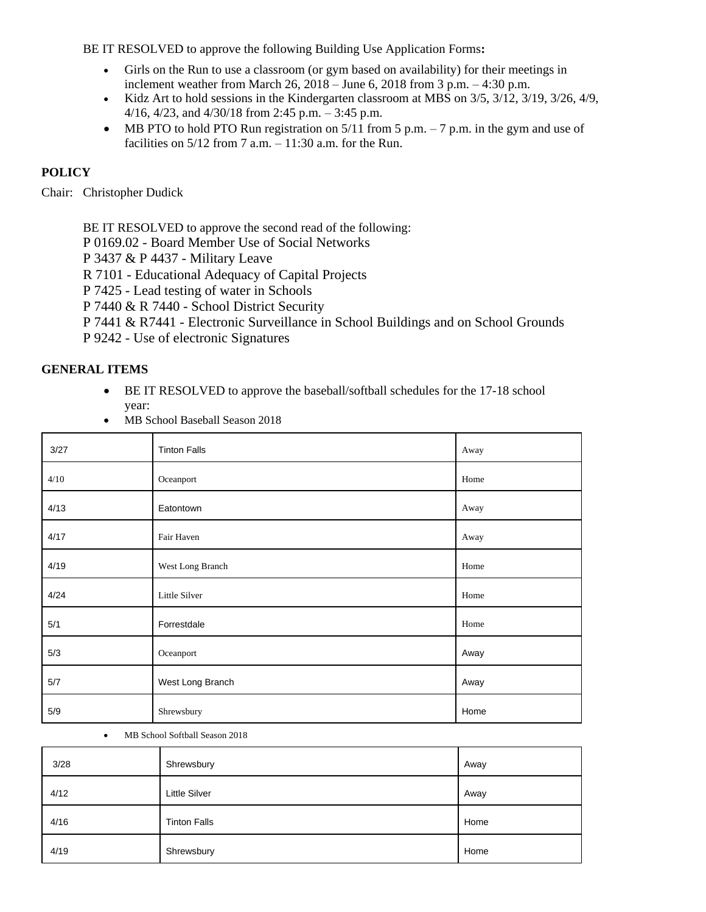BE IT RESOLVED to approve the following Building Use Application Forms**:** 

- Girls on the Run to use a classroom (or gym based on availability) for their meetings in inclement weather from March 26, 2018 – June 6, 2018 from 3 p.m. – 4:30 p.m.
- Kidz Art to hold sessions in the Kindergarten classroom at MBS on  $3/5$ ,  $3/12$ ,  $3/19$ ,  $3/26$ ,  $4/9$ , 4/16, 4/23, and 4/30/18 from 2:45 p.m. – 3:45 p.m.
- MB PTO to hold PTO Run registration on  $5/11$  from 5 p.m. 7 p.m. in the gym and use of facilities on  $5/12$  from 7 a.m.  $-11:30$  a.m. for the Run.

# **POLICY**

Chair: Christopher Dudick

BE IT RESOLVED to approve the second read of the following:

P 0169.02 - Board Member Use of Social Networks

P 3437 & P 4437 - Military Leave

R 7101 - Educational Adequacy of Capital Projects

P 7425 - Lead testing of water in Schools

P 7440 & R 7440 - School District Security

P 7441 & R7441 - Electronic Surveillance in School Buildings and on School Grounds

P 9242 - Use of electronic Signatures

## **GENERAL ITEMS**

- BE IT RESOLVED to approve the baseball/softball schedules for the 17-18 school year:
- MB School Baseball Season 2018

| 3/27 | <b>Tinton Falls</b> | Away |
|------|---------------------|------|
| 4/10 | Oceanport           | Home |
| 4/13 | Eatontown           | Away |
| 4/17 | Fair Haven          | Away |
| 4/19 | West Long Branch    | Home |
| 4/24 | Little Silver       | Home |
| 5/1  | Forrestdale         | Home |
| 5/3  | Oceanport           | Away |
| 5/7  | West Long Branch    | Away |
| 5/9  | Shrewsbury          | Home |

MB School Softball Season 2018

| 3/28 | Shrewsbury           | Away |
|------|----------------------|------|
| 4/12 | <b>Little Silver</b> | Away |
| 4/16 | <b>Tinton Falls</b>  | Home |
| 4/19 | Shrewsbury           | Home |